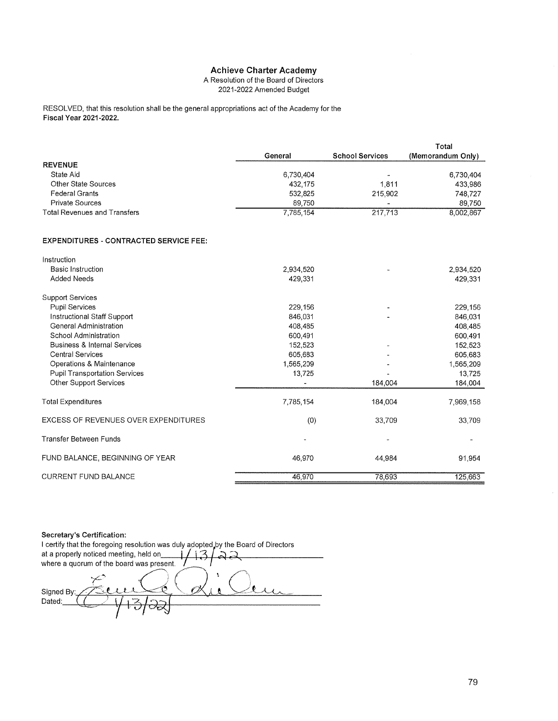A Resolution of the Board of Directors 2021-2022 Amended Budget

RESOLVED, that this resolution shall be the general appropriations act of the Academy for the **Fiscal Year 2021-2022.** 

|                                               |           |                        | Total             |
|-----------------------------------------------|-----------|------------------------|-------------------|
|                                               | General   | <b>School Services</b> | (Memorandum Only) |
| <b>REVENUE</b>                                |           |                        |                   |
| State Aid                                     | 6,730,404 |                        | 6,730,404         |
| <b>Other State Sources</b>                    | 432,175   | 1,811                  | 433,986           |
| <b>Federal Grants</b>                         | 532,825   | 215,902                | 748,727           |
| <b>Private Sources</b>                        | 89,750    |                        | 89,750            |
| <b>Total Revenues and Transfers</b>           | 7,785,154 | 217,713                | 8,002,867         |
| <b>EXPENDITURES - CONTRACTED SERVICE FEE:</b> |           |                        |                   |
| Instruction                                   |           |                        |                   |
| <b>Basic Instruction</b>                      | 2,934,520 |                        | 2,934,520         |
| <b>Added Needs</b>                            | 429,331   |                        | 429,331           |
| <b>Support Services</b>                       |           |                        |                   |
| <b>Pupil Services</b>                         | 229,156   |                        | 229,156           |
| Instructional Staff Support                   | 846,031   |                        | 846,031           |
| <b>General Administration</b>                 | 408,485   |                        | 408,485           |
| School Administration                         | 600,491   |                        | 600,491           |
| <b>Business &amp; Internal Services</b>       | 152,523   |                        | 152,523           |
| <b>Central Services</b>                       | 605,683   |                        | 605,683           |
| Operations & Maintenance                      | 1,565,209 |                        | 1,565,209         |
| <b>Pupil Transportation Services</b>          | 13,725    |                        | 13,725            |
| <b>Other Support Services</b>                 |           | 184,004                | 184,004           |
| <b>Total Expenditures</b>                     | 7,785,154 | 184,004                | 7,969,158         |
| <b>EXCESS OF REVENUES OVER EXPENDITURES</b>   | (0)       | 33,709                 | 33,709            |
| Transfer Between Funds                        |           |                        |                   |
| FUND BALANCE, BEGINNING OF YEAR               | 46,970    | 44,984                 | 91,954            |
| <b>CURRENT FUND BALANCE</b>                   | 46,970    | 78.693                 | 125,663           |

Secretary's Certification:

I certify that the foregoing resolution was duly adopted by the Board of Directors at a properly noticed meeting, held on\_ where a quorum of the board was present.  $^{\prime}$  0 Signed By: (F) Dated: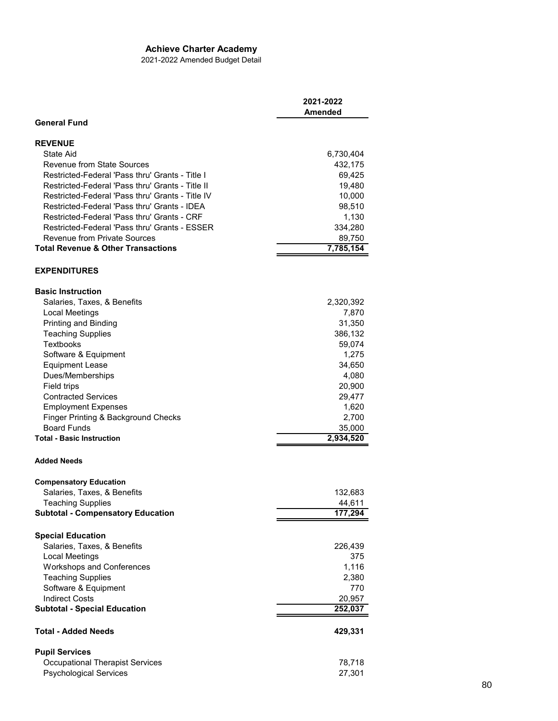2021-2022 Amended Budget Detail

|                                                              | 2021-2022<br>Amended |
|--------------------------------------------------------------|----------------------|
| <b>General Fund</b>                                          |                      |
| <b>REVENUE</b>                                               |                      |
| State Aid                                                    | 6,730,404            |
| Revenue from State Sources                                   | 432,175              |
| Restricted-Federal 'Pass thru' Grants - Title I              | 69,425               |
| Restricted-Federal 'Pass thru' Grants - Title II             | 19,480               |
| Restricted-Federal 'Pass thru' Grants - Title IV             | 10,000               |
| Restricted-Federal 'Pass thru' Grants - IDEA                 | 98,510               |
| Restricted-Federal 'Pass thru' Grants - CRF                  | 1,130                |
| Restricted-Federal 'Pass thru' Grants - ESSER                | 334,280              |
| <b>Revenue from Private Sources</b>                          | 89,750               |
| <b>Total Revenue &amp; Other Transactions</b>                | 7,785,154            |
| <b>EXPENDITURES</b>                                          |                      |
| <b>Basic Instruction</b>                                     |                      |
| Salaries, Taxes, & Benefits                                  | 2,320,392            |
| Local Meetings                                               | 7,870                |
| Printing and Binding                                         | 31,350               |
| <b>Teaching Supplies</b>                                     | 386,132              |
| <b>Textbooks</b>                                             | 59,074               |
| Software & Equipment                                         | 1,275                |
| <b>Equipment Lease</b>                                       | 34,650               |
| Dues/Memberships                                             | 4,080                |
| Field trips                                                  | 20,900               |
| <b>Contracted Services</b>                                   | 29,477               |
| <b>Employment Expenses</b>                                   | 1,620                |
| Finger Printing & Background Checks                          | 2,700                |
| <b>Board Funds</b>                                           | 35,000               |
| <b>Total - Basic Instruction</b>                             | 2,934,520            |
| <b>Added Needs</b>                                           |                      |
| <b>Compensatory Education</b>                                |                      |
| Salaries, Taxes, & Benefits                                  | 132,683              |
| Teaching Supplies                                            | 44,611               |
| <b>Subtotal - Compensatory Education</b>                     | 177,294              |
|                                                              |                      |
| <b>Special Education</b>                                     |                      |
| Salaries, Taxes, & Benefits                                  | 226,439              |
| <b>Local Meetings</b>                                        | 375                  |
| <b>Workshops and Conferences</b><br><b>Teaching Supplies</b> | 1,116<br>2,380       |
|                                                              | 770                  |
| Software & Equipment<br><b>Indirect Costs</b>                |                      |
| <b>Subtotal - Special Education</b>                          | 20,957<br>252,037    |
|                                                              |                      |
| Total - Added Needs                                          | 429,331              |
| <b>Pupil Services</b>                                        |                      |
| <b>Occupational Therapist Services</b>                       | 78,718               |
| <b>Psychological Services</b>                                | 27,301               |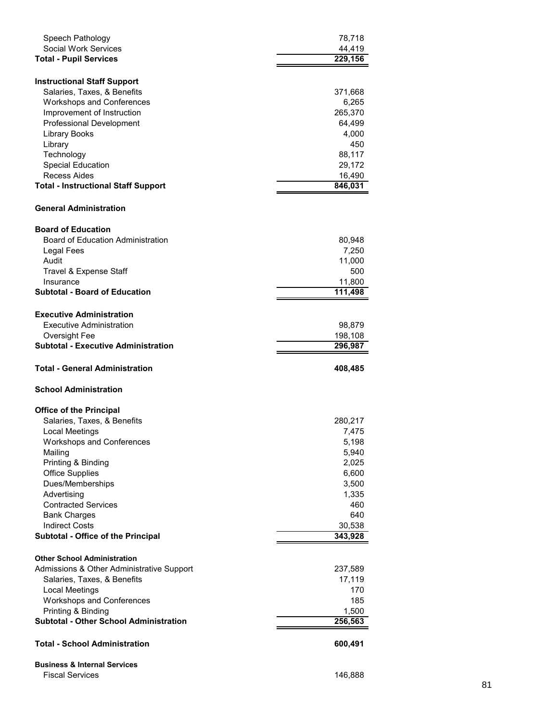| Speech Pathology                              | 78,718         |
|-----------------------------------------------|----------------|
| <b>Social Work Services</b>                   | 44,419         |
| <b>Total - Pupil Services</b>                 | 229,156        |
|                                               |                |
| <b>Instructional Staff Support</b>            |                |
| Salaries, Taxes, & Benefits                   | 371,668        |
| <b>Workshops and Conferences</b>              | 6,265          |
| Improvement of Instruction                    | 265,370        |
| <b>Professional Development</b>               | 64,499         |
| <b>Library Books</b>                          | 4,000          |
| Library                                       | 450            |
| Technology                                    | 88,117         |
| Special Education                             | 29,172         |
| Recess Aides                                  | 16,490         |
| <b>Total - Instructional Staff Support</b>    | 846,031        |
| <b>General Administration</b>                 |                |
| <b>Board of Education</b>                     |                |
| <b>Board of Education Administration</b>      | 80,948         |
| Legal Fees                                    | 7,250          |
| Audit                                         | 11,000         |
| Travel & Expense Staff                        | 500            |
| Insurance                                     | 11,800         |
| <b>Subtotal - Board of Education</b>          | 111,498        |
|                                               |                |
| <b>Executive Administration</b>               |                |
| <b>Executive Administration</b>               | 98,879         |
| Oversight Fee                                 | 198,108        |
| <b>Subtotal - Executive Administration</b>    | 296,987        |
|                                               |                |
| <b>Total - General Administration</b>         | 408,485        |
| <b>School Administration</b>                  |                |
|                                               |                |
| <b>Office of the Principal</b>                |                |
| Salaries, Taxes, & Benefits                   | 280,217        |
| Local Meetings                                | 7,475          |
| <b>Workshops and Conferences</b>              | 5,198          |
| Mailing                                       | 5,940          |
| Printing & Binding                            | 2,025          |
| <b>Office Supplies</b>                        | 6,600          |
| Dues/Memberships<br>Advertising               | 3,500<br>1,335 |
| <b>Contracted Services</b>                    | 460            |
| <b>Bank Charges</b>                           | 640            |
| <b>Indirect Costs</b>                         | 30,538         |
| Subtotal - Office of the Principal            | 343,928        |
|                                               |                |
| <b>Other School Administration</b>            |                |
| Admissions & Other Administrative Support     | 237,589        |
| Salaries, Taxes, & Benefits                   | 17,119         |
| <b>Local Meetings</b>                         | 170            |
| <b>Workshops and Conferences</b>              | 185            |
| Printing & Binding                            | 1,500          |
| <b>Subtotal - Other School Administration</b> | 256,563        |
| <b>Total - School Administration</b>          | 600,491        |
| <b>Business &amp; Internal Services</b>       |                |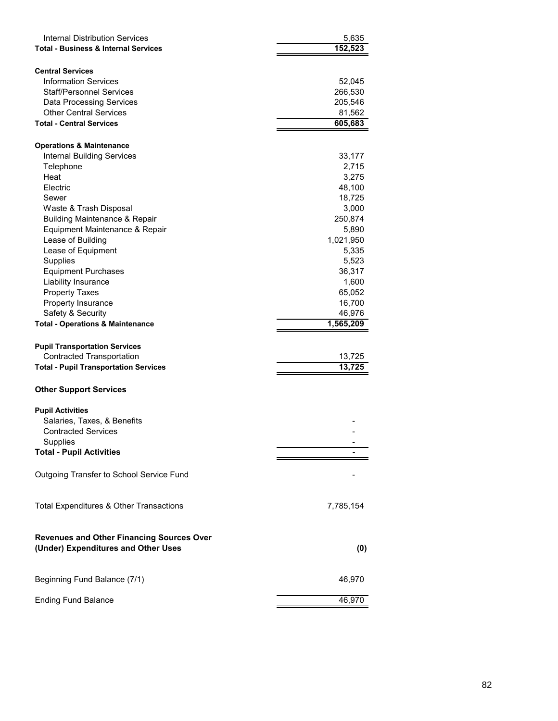| <b>Internal Distribution Services</b><br><b>Total - Business &amp; Internal Services</b> | 5,635<br>152,523 |
|------------------------------------------------------------------------------------------|------------------|
| <b>Central Services</b>                                                                  |                  |
| <b>Information Services</b>                                                              | 52,045           |
| <b>Staff/Personnel Services</b>                                                          | 266,530          |
| <b>Data Processing Services</b>                                                          | 205,546          |
| <b>Other Central Services</b>                                                            | 81,562           |
| <b>Total - Central Services</b>                                                          | 605,683          |
| <b>Operations &amp; Maintenance</b>                                                      |                  |
| <b>Internal Building Services</b>                                                        | 33,177           |
| Telephone                                                                                | 2,715            |
| Heat                                                                                     | 3,275            |
| Electric                                                                                 | 48,100           |
| Sewer                                                                                    | 18,725           |
| Waste & Trash Disposal                                                                   | 3,000            |
| <b>Building Maintenance &amp; Repair</b>                                                 | 250,874          |
| Equipment Maintenance & Repair                                                           | 5,890            |
| Lease of Building                                                                        | 1,021,950        |
| Lease of Equipment                                                                       | 5,335            |
| <b>Supplies</b>                                                                          | 5,523            |
| <b>Equipment Purchases</b>                                                               | 36,317           |
| Liability Insurance                                                                      | 1,600            |
| <b>Property Taxes</b>                                                                    | 65,052           |
| Property Insurance                                                                       | 16,700           |
| Safety & Security                                                                        | 46,976           |
|                                                                                          |                  |
|                                                                                          |                  |
| <b>Total - Operations &amp; Maintenance</b>                                              | 1,565,209        |
| <b>Pupil Transportation Services</b>                                                     |                  |
| <b>Contracted Transportation</b>                                                         | 13,725           |
| <b>Total - Pupil Transportation Services</b>                                             | 13,725           |
| <b>Other Support Services</b>                                                            |                  |
|                                                                                          |                  |
| <b>Pupil Activities</b>                                                                  |                  |
| Salaries, Taxes, & Benefits                                                              |                  |
| <b>Contracted Services</b>                                                               |                  |
| Supplies<br><b>Total - Pupil Activities</b>                                              |                  |
|                                                                                          |                  |
| Outgoing Transfer to School Service Fund                                                 |                  |
| Total Expenditures & Other Transactions                                                  | 7,785,154        |
|                                                                                          |                  |
| <b>Revenues and Other Financing Sources Over</b>                                         |                  |
| (Under) Expenditures and Other Uses                                                      | (0)              |
| Beginning Fund Balance (7/1)                                                             | 46,970           |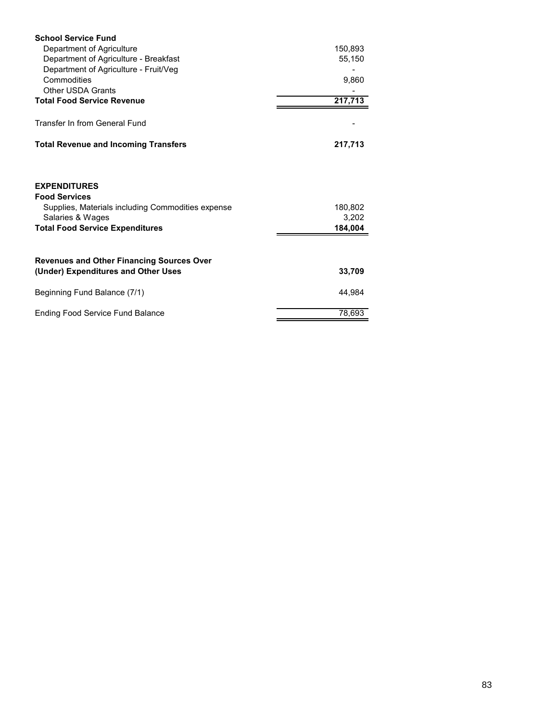| <b>School Service Fund</b>                                                                                                                                     |                             |
|----------------------------------------------------------------------------------------------------------------------------------------------------------------|-----------------------------|
| Department of Agriculture                                                                                                                                      | 150,893                     |
| Department of Agriculture - Breakfast                                                                                                                          | 55,150                      |
| Department of Agriculture - Fruit/Veg                                                                                                                          |                             |
| Commodities                                                                                                                                                    | 9,860                       |
| <b>Other USDA Grants</b>                                                                                                                                       |                             |
| <b>Total Food Service Revenue</b>                                                                                                                              | 217,713                     |
| Transfer In from General Fund                                                                                                                                  |                             |
| <b>Total Revenue and Incoming Transfers</b>                                                                                                                    | 217,713                     |
| <b>EXPENDITURES</b><br><b>Food Services</b><br>Supplies, Materials including Commodities expense<br>Salaries & Wages<br><b>Total Food Service Expenditures</b> | 180,802<br>3,202<br>184,004 |
| <b>Revenues and Other Financing Sources Over</b><br>(Under) Expenditures and Other Uses                                                                        | 33,709                      |
|                                                                                                                                                                |                             |
| Beginning Fund Balance (7/1)                                                                                                                                   | 44,984                      |
| <b>Ending Food Service Fund Balance</b>                                                                                                                        | 78,693                      |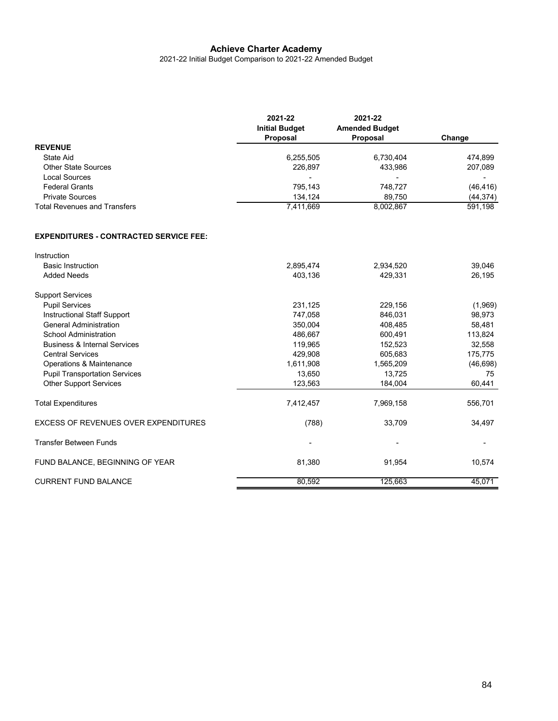2021-22 Initial Budget Comparison to 2021-22 Amended Budget

|                              | 2021-22<br><b>Initial Budget</b><br>Proposal | 2021-22<br><b>Amended Budget</b><br><b>Proposal</b> | Change    |
|------------------------------|----------------------------------------------|-----------------------------------------------------|-----------|
| <b>REVENUE</b>               |                                              |                                                     |           |
| State Aid                    | 6,255,505                                    | 6.730.404                                           | 474.899   |
| <b>Other State Sources</b>   | 226,897                                      | 433,986                                             | 207,089   |
| Local Sources                | $\overline{\phantom{0}}$                     | -                                                   | -         |
| <b>Federal Grants</b>        | 795.143                                      | 748.727                                             | (46, 416) |
| <b>Private Sources</b>       | 134.124                                      | 89.750                                              | (44, 374) |
| Total Revenues and Transfers | 7,411,669                                    | 8,002,867                                           | 591,198   |

#### **EXPENDITURES - CONTRACTED SERVICE FEE:**

| Instruction                                 |           |           |           |
|---------------------------------------------|-----------|-----------|-----------|
| <b>Basic Instruction</b>                    | 2,895,474 | 2,934,520 | 39,046    |
| <b>Added Needs</b>                          | 403,136   | 429,331   | 26,195    |
| <b>Support Services</b>                     |           |           |           |
| <b>Pupil Services</b>                       | 231,125   | 229,156   | (1,969)   |
| <b>Instructional Staff Support</b>          | 747,058   | 846,031   | 98,973    |
| <b>General Administration</b>               | 350,004   | 408,485   | 58,481    |
| <b>School Administration</b>                | 486,667   | 600,491   | 113,824   |
| <b>Business &amp; Internal Services</b>     | 119,965   | 152,523   | 32,558    |
| <b>Central Services</b>                     | 429,908   | 605,683   | 175,775   |
| Operations & Maintenance                    | 1,611,908 | 1,565,209 | (46, 698) |
| <b>Pupil Transportation Services</b>        | 13,650    | 13,725    | 75        |
| <b>Other Support Services</b>               | 123,563   | 184,004   | 60,441    |
| <b>Total Expenditures</b>                   | 7,412,457 | 7,969,158 | 556,701   |
| <b>EXCESS OF REVENUES OVER EXPENDITURES</b> | (788)     | 33,709    | 34,497    |
| <b>Transfer Between Funds</b>               | ۰         |           |           |
| FUND BALANCE, BEGINNING OF YEAR             | 81,380    | 91,954    | 10,574    |
| <b>CURRENT FUND BALANCE</b>                 | 80,592    | 125,663   | 45,071    |